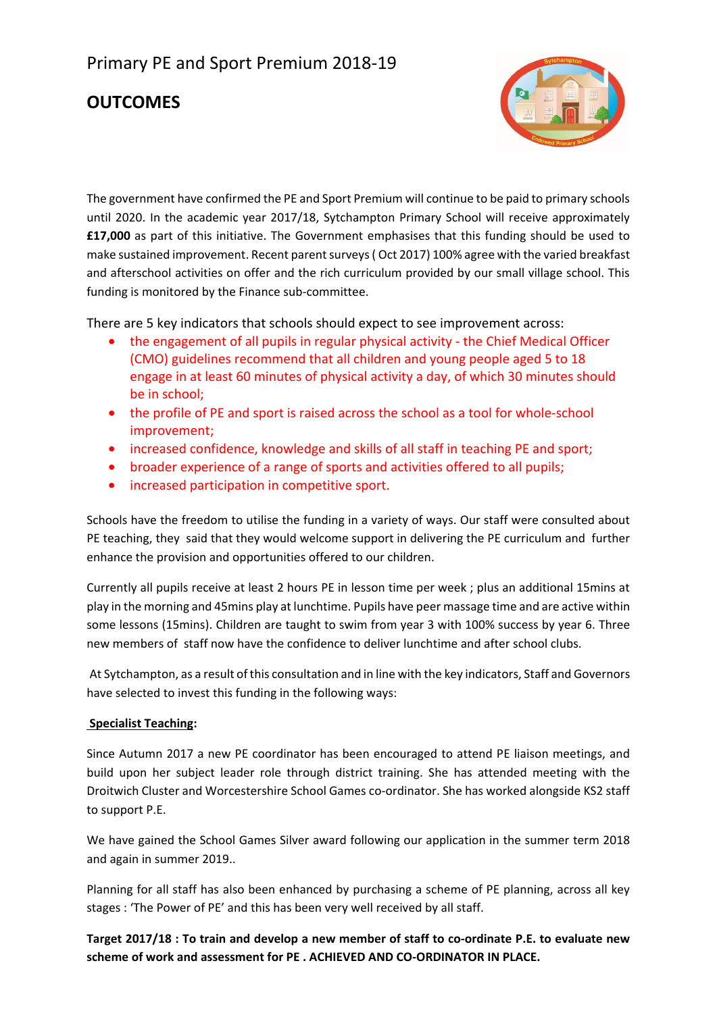## Primary PE and Sport Premium 2018-19

### **OUTCOMES**



The government have confirmed the PE and Sport Premium will continue to be paid to primary schools until 2020. In the academic year 2017/18, Sytchampton Primary School will receive approximately **£17,000** as part of this initiative. The Government emphasises that this funding should be used to make sustained improvement. Recent parent surveys ( Oct 2017) 100% agree with the varied breakfast and afterschool activities on offer and the rich curriculum provided by our small village school. This funding is monitored by the Finance sub-committee.

There are 5 key indicators that schools should expect to see improvement across:

- the engagement of all pupils in regular physical activity the Chief Medical Officer (CMO) guidelines recommend that all children and young people aged 5 to 18 engage in at least 60 minutes of physical activity a day, of which 30 minutes should be in school;
- the profile of PE and sport is raised across the school as a tool for whole-school improvement;
- increased confidence, knowledge and skills of all staff in teaching PE and sport;
- broader experience of a range of sports and activities offered to all pupils;
- increased participation in competitive sport.

Schools have the freedom to utilise the funding in a variety of ways. Our staff were consulted about PE teaching, they said that they would welcome support in delivering the PE curriculum and further enhance the provision and opportunities offered to our children.

Currently all pupils receive at least 2 hours PE in lesson time per week ; plus an additional 15mins at play in the morning and 45mins play at lunchtime. Pupils have peer massage time and are active within some lessons (15mins). Children are taught to swim from year 3 with 100% success by year 6. Three new members of staff now have the confidence to deliver lunchtime and after school clubs.

 At Sytchampton, as a result of this consultation and in line with the key indicators, Staff and Governors have selected to invest this funding in the following ways:

#### **Specialist Teaching:**

Since Autumn 2017 a new PE coordinator has been encouraged to attend PE liaison meetings, and build upon her subject leader role through district training. She has attended meeting with the Droitwich Cluster and Worcestershire School Games co-ordinator. She has worked alongside KS2 staff to support P.E.

We have gained the School Games Silver award following our application in the summer term 2018 and again in summer 2019..

Planning for all staff has also been enhanced by purchasing a scheme of PE planning, across all key stages : 'The Power of PE' and this has been very well received by all staff.

**Target 2017/18 : To train and develop a new member of staff to co-ordinate P.E. to evaluate new scheme of work and assessment for PE . ACHIEVED AND CO-ORDINATOR IN PLACE.**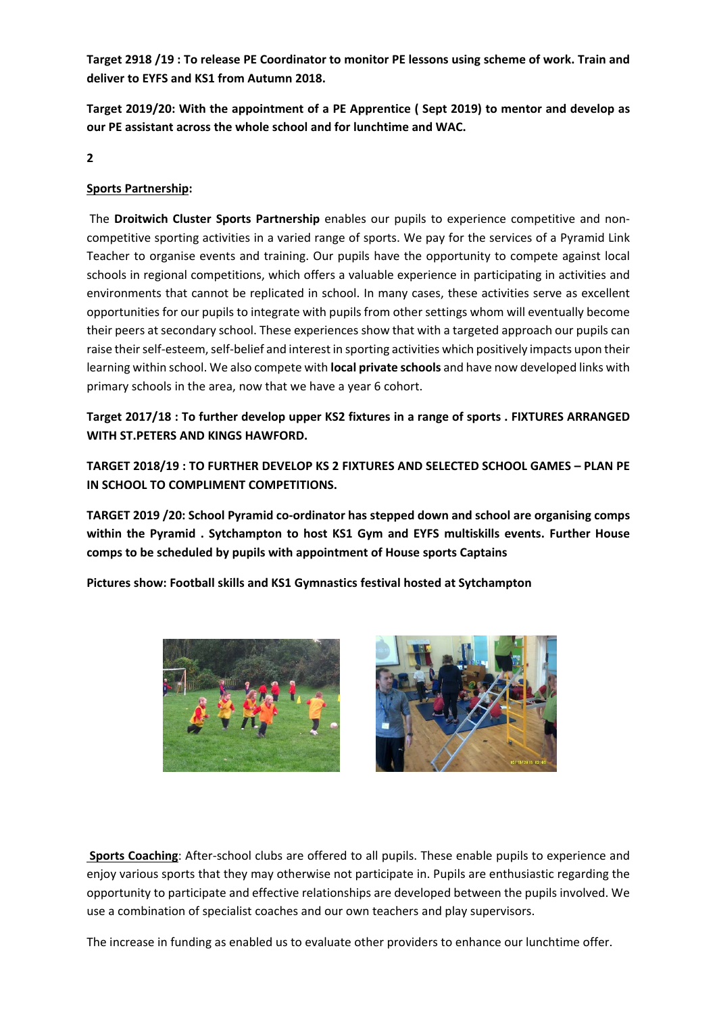**Target 2918 /19 : To release PE Coordinator to monitor PE lessons using scheme of work. Train and deliver to EYFS and KS1 from Autumn 2018.** 

**Target 2019/20: With the appointment of a PE Apprentice ( Sept 2019) to mentor and develop as our PE assistant across the whole school and for lunchtime and WAC.** 

**2** 

#### **Sports Partnership:**

 The **Droitwich Cluster Sports Partnership** enables our pupils to experience competitive and noncompetitive sporting activities in a varied range of sports. We pay for the services of a Pyramid Link Teacher to organise events and training. Our pupils have the opportunity to compete against local schools in regional competitions, which offers a valuable experience in participating in activities and environments that cannot be replicated in school. In many cases, these activities serve as excellent opportunities for our pupils to integrate with pupils from other settings whom will eventually become their peers at secondary school. These experiences show that with a targeted approach our pupils can raise their self-esteem, self-belief and interest in sporting activities which positively impacts upon their learning within school. We also compete with **local private schools** and have now developed links with primary schools in the area, now that we have a year 6 cohort.

**Target 2017/18 : To further develop upper KS2 fixtures in a range of sports . FIXTURES ARRANGED WITH ST.PETERS AND KINGS HAWFORD.** 

**TARGET 2018/19 : TO FURTHER DEVELOP KS 2 FIXTURES AND SELECTED SCHOOL GAMES – PLAN PE IN SCHOOL TO COMPLIMENT COMPETITIONS.** 

**TARGET 2019 /20: School Pyramid co-ordinator has stepped down and school are organising comps within the Pyramid . Sytchampton to host KS1 Gym and EYFS multiskills events. Further House comps to be scheduled by pupils with appointment of House sports Captains** 

**Pictures show: Football skills and KS1 Gymnastics festival hosted at Sytchampton** 





 **Sports Coaching**: After-school clubs are offered to all pupils. These enable pupils to experience and enjoy various sports that they may otherwise not participate in. Pupils are enthusiastic regarding the opportunity to participate and effective relationships are developed between the pupils involved. We use a combination of specialist coaches and our own teachers and play supervisors.

The increase in funding as enabled us to evaluate other providers to enhance our lunchtime offer.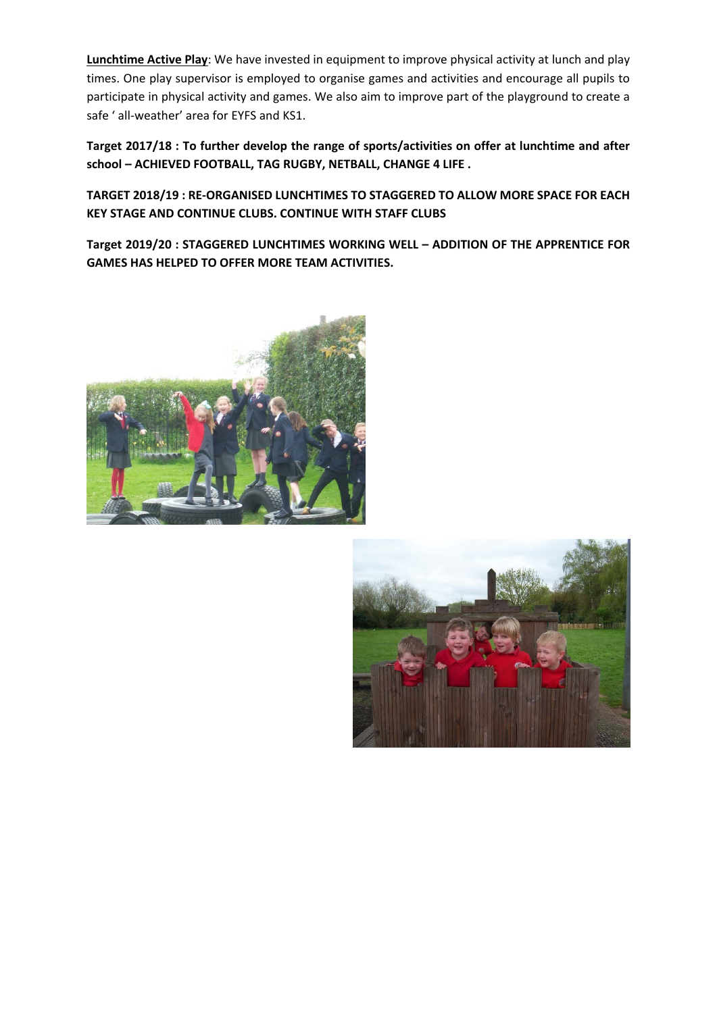**Lunchtime Active Play**: We have invested in equipment to improve physical activity at lunch and play times. One play supervisor is employed to organise games and activities and encourage all pupils to participate in physical activity and games. We also aim to improve part of the playground to create a safe ' all-weather' area for EYFS and KS1.

**Target 2017/18 : To further develop the range of sports/activities on offer at lunchtime and after school – ACHIEVED FOOTBALL, TAG RUGBY, NETBALL, CHANGE 4 LIFE .**

**TARGET 2018/19 : RE-ORGANISED LUNCHTIMES TO STAGGERED TO ALLOW MORE SPACE FOR EACH KEY STAGE AND CONTINUE CLUBS. CONTINUE WITH STAFF CLUBS** 

**Target 2019/20 : STAGGERED LUNCHTIMES WORKING WELL – ADDITION OF THE APPRENTICE FOR GAMES HAS HELPED TO OFFER MORE TEAM ACTIVITIES.** 



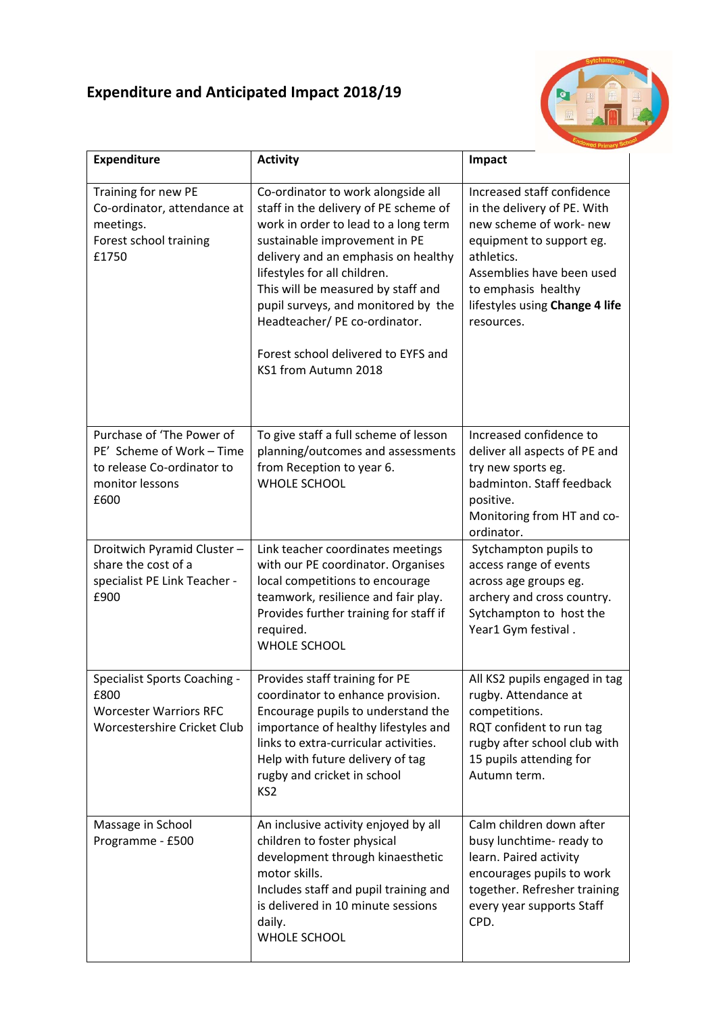# **Expenditure and Anticipated Impact 2018/19**



| <b>Expenditure</b>                                                                                              | <b>Activity</b>                                                                                                                                                                                                                                                                                                                                                                                         | Impact                                                                                                                                                                                                                             |
|-----------------------------------------------------------------------------------------------------------------|---------------------------------------------------------------------------------------------------------------------------------------------------------------------------------------------------------------------------------------------------------------------------------------------------------------------------------------------------------------------------------------------------------|------------------------------------------------------------------------------------------------------------------------------------------------------------------------------------------------------------------------------------|
| Training for new PE<br>Co-ordinator, attendance at<br>meetings.<br>Forest school training<br>£1750              | Co-ordinator to work alongside all<br>staff in the delivery of PE scheme of<br>work in order to lead to a long term<br>sustainable improvement in PE<br>delivery and an emphasis on healthy<br>lifestyles for all children.<br>This will be measured by staff and<br>pupil surveys, and monitored by the<br>Headteacher/PE co-ordinator.<br>Forest school delivered to EYFS and<br>KS1 from Autumn 2018 | Increased staff confidence<br>in the delivery of PE. With<br>new scheme of work- new<br>equipment to support eg.<br>athletics.<br>Assemblies have been used<br>to emphasis healthy<br>lifestyles using Change 4 life<br>resources. |
| Purchase of 'The Power of<br>PE' Scheme of Work - Time<br>to release Co-ordinator to<br>monitor lessons<br>£600 | To give staff a full scheme of lesson<br>planning/outcomes and assessments<br>from Reception to year 6.<br><b>WHOLE SCHOOL</b>                                                                                                                                                                                                                                                                          | Increased confidence to<br>deliver all aspects of PE and<br>try new sports eg.<br>badminton. Staff feedback<br>positive.<br>Monitoring from HT and co-<br>ordinator.                                                               |
| Droitwich Pyramid Cluster-<br>share the cost of a<br>specialist PE Link Teacher -<br>£900                       | Link teacher coordinates meetings<br>with our PE coordinator. Organises<br>local competitions to encourage<br>teamwork, resilience and fair play.<br>Provides further training for staff if<br>required.<br><b>WHOLE SCHOOL</b>                                                                                                                                                                         | Sytchampton pupils to<br>access range of events<br>across age groups eg.<br>archery and cross country.<br>Sytchampton to host the<br>Year1 Gym festival.                                                                           |
| Specialist Sports Coaching -<br>£800<br><b>Worcester Warriors RFC</b><br>Worcestershire Cricket Club            | Provides staff training for PE<br>coordinator to enhance provision.<br>Encourage pupils to understand the<br>importance of healthy lifestyles and<br>links to extra-curricular activities.<br>Help with future delivery of tag<br>rugby and cricket in school<br>KS <sub>2</sub>                                                                                                                        | All KS2 pupils engaged in tag<br>rugby. Attendance at<br>competitions.<br>RQT confident to run tag<br>rugby after school club with<br>15 pupils attending for<br>Autumn term.                                                      |
| Massage in School<br>Programme - £500                                                                           | An inclusive activity enjoyed by all<br>children to foster physical<br>development through kinaesthetic<br>motor skills.<br>Includes staff and pupil training and<br>is delivered in 10 minute sessions<br>daily.<br><b>WHOLE SCHOOL</b>                                                                                                                                                                | Calm children down after<br>busy lunchtime- ready to<br>learn. Paired activity<br>encourages pupils to work<br>together. Refresher training<br>every year supports Staff<br>CPD.                                                   |